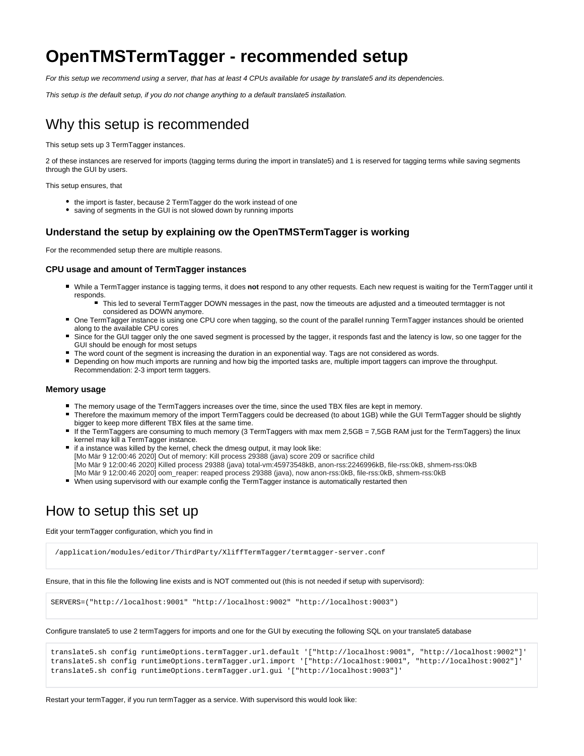# **OpenTMSTermTagger - recommended setup**

For this setup we recommend using a server, that has at least 4 CPUs available for usage by translate5 and its dependencies.

This setup is the default setup, if you do not change anything to a default translate5 installation.

## Why this setup is recommended

This setup sets up 3 TermTagger instances.

2 of these instances are reserved for imports (tagging terms during the import in translate5) and 1 is reserved for tagging terms while saving segments through the GUI by users.

This setup ensures, that

- the import is faster, because 2 TermTagger do the work instead of one
- saving of segments in the GUI is not slowed down by running imports

### **Understand the setup by explaining ow the OpenTMSTermTagger is working**

For the recommended setup there are multiple reasons.

#### **CPU usage and amount of TermTagger instances**

- While a TermTagger instance is tagging terms, it does not respond to any other requests. Each new request is waiting for the TermTagger until it responds.
	- This led to several TermTagger DOWN messages in the past, now the timeouts are adjusted and a timeouted termtagger is not considered as DOWN anymore.
- One TermTagger instance is using one CPU core when tagging, so the count of the parallel running TermTagger instances should be oriented along to the available CPU cores
- Since for the GUI tagger only the one saved segment is processed by the tagger, it responds fast and the latency is low, so one tagger for the GUI should be enough for most setups
- The word count of the segment is increasing the duration in an exponential way. Tags are not considered as words.
- Depending on how much imports are running and how big the imported tasks are, multiple import taggers can improve the throughput. Recommendation: 2-3 import term taggers.

#### **Memory usage**

- The memory usage of the TermTaggers increases over the time, since the used TBX files are kept in memorv.
- Therefore the maximum memory of the import TermTaggers could be decreased (to about 1GB) while the GUI TermTagger should be slightly bigger to keep more different TBX files at the same time.
- If the TermTaggers are consuming to much memory (3 TermTaggers with max mem 2,5GB = 7,5GB RAM just for the TermTaggers) the linux kernel may kill a TermTagger instance.
- if a instance was killed by the kernel, check the dmesg output, it may look like: [Mo Mär 9 12:00:46 2020] Out of memory: Kill process 29388 (java) score 209 or sacrifice child [Mo Mär 9 12:00:46 2020] Killed process 29388 (java) total-vm:45973548kB, anon-rss:2246996kB, file-rss:0kB, shmem-rss:0kB [Mo Mär 9 12:00:46 2020] oom\_reaper: reaped process 29388 (java), now anon-rss:0kB, file-rss:0kB, shmem-rss:0kB
- When using supervisord with our example config the TermTagger instance is automatically restarted then

### How to setup this set up

Edit your termTagger configuration, which you find in

/application/modules/editor/ThirdParty/XliffTermTagger/termtagger-server.conf

Ensure, that in this file the following line exists and is NOT commented out (this is not needed if setup with supervisord):

SERVERS=("http://localhost:9001" "http://localhost:9002" "http://localhost:9003")

Configure translate5 to use 2 termTaggers for imports and one for the GUI by executing the following SQL on your translate5 database

```
translate5.sh config runtimeOptions.termTagger.url.default '["http://localhost:9001", "http://localhost:9002"]'
translate5.sh config runtimeOptions.termTagger.url.import '["http://localhost:9001", "http://localhost:9002"]'
translate5.sh config runtimeOptions.termTagger.url.gui '["http://localhost:9003"]'
```
Restart your termTagger, if you run termTagger as a service. With supervisord this would look like: